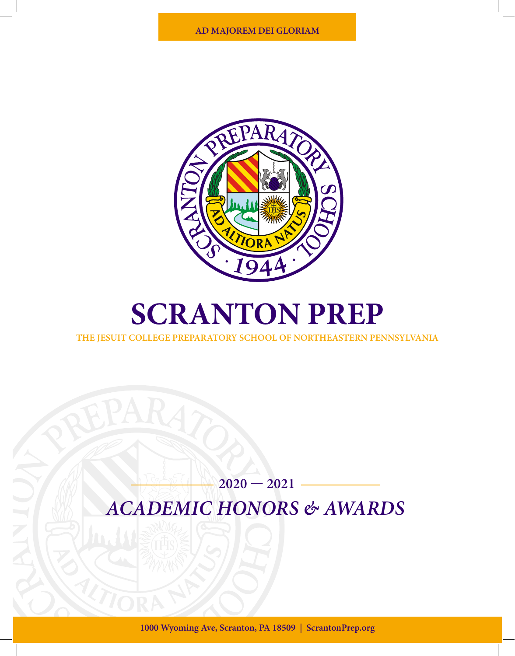

# **SCRANTON PREP**

**THE JESUIT COLLEGE PREPARATORY SCHOOL OF NORTHEASTERN PENNSYLVANIA**

### **2020 — 2021** *ACADEMIC HONORS & AWARDS*

**1000 Wyoming Ave, Scranton, PA 18509 | ScrantonPrep.org**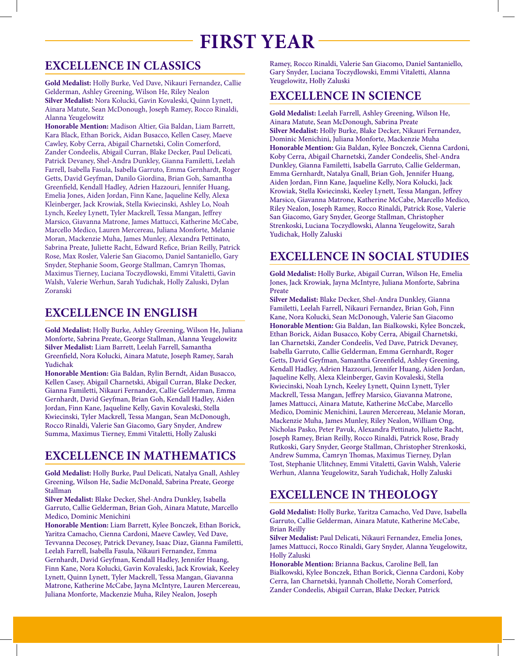## **FIRST YEAR**

#### **EXCELLENCE IN CLASSICS**

**Gold Medalist:** Holly Burke, Ved Dave, Nikauri Fernandez, Callie Gelderman, Ashley Greening, Wilson He, Riley Nealon **Silver Medalist:** Nora Kolucki, Gavin Kovaleski, Quinn Lynett, Ainara Matute, Sean McDonough, Joseph Ramey, Rocco Rinaldi, Alanna Yeugelowitz

**Honorable Mention:** Madison Altier, Gia Baldan, Liam Barrett, Kara Black, Ethan Borick, Aidan Busacco, Kellen Casey, Maeve Cawley, Koby Cerra, Abigail Charnetski, Colin Comerford, Zander Condeelis, Abigail Curran, Blake Decker, Paul Delicati, Patrick Devaney, Shel-Andra Dunkley, Gianna Familetti, Leelah Farrell, Isabella Fasula, Isabella Garruto, Emma Gernhardt, Roger Getts, David Geyfman, Danilo Giordina, Brian Goh, Samantha Greenfield, Kendall Hadley, Adrien Hazzouri, Jennifer Huang, Emelia Jones, Aiden Jordan, Finn Kane, Jaqueline Kelly, Alexa Kleinberger, Jack Krowiak, Stella Kwiecinski, Ashley Lo, Noah Lynch, Keeley Lynett, Tyler Mackrell, Tessa Mangan, Jeffrey Marsico, Giavanna Matrone, James Mattucci, Katherine McCabe, Marcello Medico, Lauren Mercereau, Juliana Monforte, Melanie Moran, Mackenzie Muha, James Munley, Alexandra Pettinato, Sabrina Preate, Juliette Racht, Edward Refice, Brian Reilly, Patrick Rose, Max Rosler, Valerie San Giacomo, Daniel Santaniello, Gary Snyder, Stephanie Soom, George Stallman, Camryn Thomas, Maximus Tierney, Luciana Toczydlowski, Emmi Vitaletti, Gavin Walsh, Valerie Werhun, Sarah Yudichak, Holly Zaluski, Dylan Zoranski

#### **EXCELLENCE IN ENGLISH**

**Gold Medalist:** Holly Burke, Ashley Greening, Wilson He, Juliana Monforte, Sabrina Preate, George Stallman, Alanna Yeugelowitz **Silver Medalist:** Liam Barrett, Leelah Farrell, Samantha Greenfield, Nora Kolucki, Ainara Matute, Joseph Ramey, Sarah Yudichak

**Honorable Mention:** Gia Baldan, Rylin Berndt, Aidan Busacco, Kellen Casey, Abigail Charnetski, Abigail Curran, Blake Decker, Gianna Familetti, Nikauri Fernandez, Callie Gelderman, Emma Gernhardt, David Geyfman, Brian Goh, Kendall Hadley, Aiden Jordan, Finn Kane, Jaqueline Kelly, Gavin Kovaleski, Stella Kwiecinski, Tyler Mackrell, Tessa Mangan, Sean McDonough, Rocco Rinaldi, Valerie San Giacomo, Gary Snyder, Andrew Summa, Maximus Tierney, Emmi Vitaletti, Holly Zaluski

#### **EXCELLENCE IN MATHEMATICS**

**Gold Medalist:** Holly Burke, Paul Delicati, Natalya Gnall, Ashley Greening, Wilson He, Sadie McDonald, Sabrina Preate, George Stallman

**Silver Medalist:** Blake Decker, Shel-Andra Dunkley, Isabella Garruto, Callie Gelderman, Brian Goh, Ainara Matute, Marcello Medico, Dominic Menichini

**Honorable Mention:** Liam Barrett, Kylee Bonczek, Ethan Borick, Yaritza Camacho, Cienna Cardoni, Maeve Cawley, Ved Dave, Tevvanna Decosey, Patrick Devaney, Isaac Diaz, Gianna Familetti, Leelah Farrell, Isabella Fasula, Nikauri Fernandez, Emma Gernhardt, David Geyfman, Kendall Hadley, Jennifer Huang, Finn Kane, Nora Kolucki, Gavin Kovaleski, Jack Krowiak, Keeley Lynett, Quinn Lynett, Tyler Mackrell, Tessa Mangan, Giavanna Matrone, Katherine McCabe, Jayna McIntyre, Lauren Mercereau, Juliana Monforte, Mackenzie Muha, Riley Nealon, Joseph

Ramey, Rocco Rinaldi, Valerie San Giacomo, Daniel Santaniello, Gary Snyder, Luciana Toczydlowski, Emmi Vitaletti, Alanna Yeugelowitz, Holly Zaluski

#### **EXCELLENCE IN SCIENCE**

**Gold Medalist:** Leelah Farrell, Ashley Greening, Wilson He, Ainara Matute, Sean McDonough, Sabrina Preate **Silver Medalist:** Holly Burke, Blake Decker, Nikauri Fernandez, Dominic Menichini, Juliana Monforte, Mackenzie Muha **Honorable Mention:** Gia Baldan, Kylee Bonczek, Cienna Cardoni, Koby Cerra, Abigail Charnetski, Zander Condeelis, Shel-Andra Dunkley, Gianna Familetti, Isabella Garruto, Callie Gelderman, Emma Gernhardt, Natalya Gnall, Brian Goh, Jennifer Huang, Aiden Jordan, Finn Kane, Jaqueline Kelly, Nora Kolucki, Jack Krowiak, Stella Kwiecinski, Keeley Lynett, Tessa Mangan, Jeffrey Marsico, Giavanna Matrone, Katherine McCabe, Marcello Medico, Riley Nealon, Joseph Ramey, Rocco Rinaldi, Patrick Rose, Valerie San Giacomo, Gary Snyder, George Stallman, Christopher Strenkoski, Luciana Toczydlowski, Alanna Yeugelowitz, Sarah Yudichak, Holly Zaluski

#### **EXCELLENCE IN SOCIAL STUDIES**

**Gold Medalist:** Holly Burke, Abigail Curran, Wilson He, Emelia Jones, Jack Krowiak, Jayna McIntyre, Juliana Monforte, Sabrina Preate

**Silver Medalist:** Blake Decker, Shel-Andra Dunkley, Gianna Familetti, Leelah Farrell, Nikauri Fernandez, Brian Goh, Finn Kane, Nora Kolucki, Sean McDonough, Valerie San Giacomo **Honorable Mention:** Gia Baldan, Ian Bialkowski, Kylee Bonczek, Ethan Borick, Aidan Busacco, Koby Cerra, Abigail Charnetski, Ian Charnetski, Zander Condeelis, Ved Dave, Patrick Devaney, Isabella Garruto, Callie Gelderman, Emma Gernhardt, Roger Getts, David Geyfman, Samantha Greenfield, Ashley Greening, Kendall Hadley, Adrien Hazzouri, Jennifer Huang, Aiden Jordan, Jaqueline Kelly, Alexa Kleinberger, Gavin Kovaleski, Stella Kwiecinski, Noah Lynch, Keeley Lynett, Quinn Lynett, Tyler Mackrell, Tessa Mangan, Jeffrey Marsico, Giavanna Matrone, James Mattucci, Ainara Matute, Katherine McCabe, Marcello Medico, Dominic Menichini, Lauren Mercereau, Melanie Moran, Mackenzie Muha, James Munley, Riley Nealon, William Ong, Nicholas Pasko, Peter Pavuk, Alexandra Pettinato, Juliette Racht, Joseph Ramey, Brian Reilly, Rocco Rinaldi, Patrick Rose, Brady Rutkoski, Gary Snyder, George Stallman, Christopher Strenkoski, Andrew Summa, Camryn Thomas, Maximus Tierney, Dylan Tost, Stephanie Ulitchney, Emmi Vitaletti, Gavin Walsh, Valerie Werhun, Alanna Yeugelowitz, Sarah Yudichak, Holly Zaluski

#### **EXCELLENCE IN THEOLOGY**

**Gold Medalist:** Holly Burke, Yaritza Camacho, Ved Dave, Isabella Garruto, Callie Gelderman, Ainara Matute, Katherine McCabe, Brian Reilly

**Silver Medalist:** Paul Delicati, Nikauri Fernandez, Emelia Jones, James Mattucci, Rocco Rinaldi, Gary Snyder, Alanna Yeugelowitz, Holly Zaluski

**Honorable Mention:** Brianna Backus, Caroline Bell, Ian Bialkowski, Kylee Bonczek, Ethan Borick, Cienna Cardoni, Koby Cerra, Ian Charnetski, Iyannah Chollette, Norah Comerford, Zander Condeelis, Abigail Curran, Blake Decker, Patrick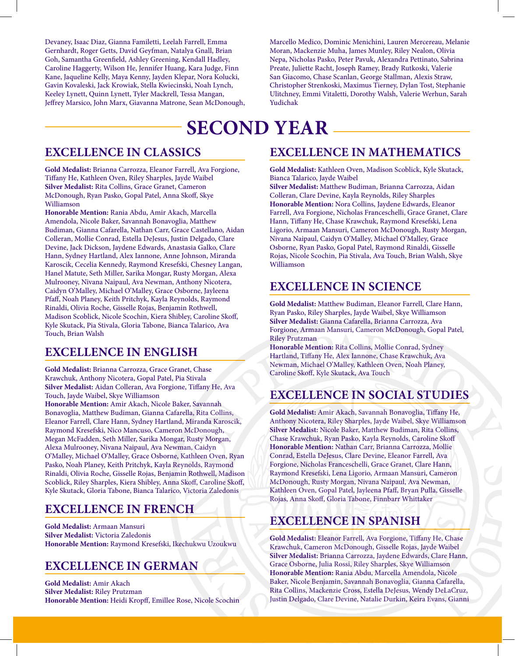Devaney, Isaac Diaz, Gianna Familetti, Leelah Farrell, Emma Gernhardt, Roger Getts, David Geyfman, Natalya Gnall, Brian Goh, Samantha Greenfield, Ashley Greening, Kendall Hadley, Caroline Haggerty, Wilson He, Jennifer Huang, Kara Judge, Finn Kane, Jaqueline Kelly, Maya Kenny, Jayden Klepar, Nora Kolucki, Gavin Kovaleski, Jack Krowiak, Stella Kwiecinski, Noah Lynch, Keeley Lynett, Quinn Lynett, Tyler Mackrell, Tessa Mangan, Jeffrey Marsico, John Marx, Giavanna Matrone, Sean McDonough, Marcello Medico, Dominic Menichini, Lauren Mercereau, Melanie Moran, Mackenzie Muha, James Munley, Riley Nealon, Olivia Nepa, Nicholas Pasko, Peter Pavuk, Alexandra Pettinato, Sabrina Preate, Juliette Racht, Joseph Ramey, Brady Rutkoski, Valerie San Giacomo, Chase Scanlan, George Stallman, Alexis Straw, Christopher Strenkoski, Maximus Tierney, Dylan Tost, Stephanie Ulitchney, Emmi Vitaletti, Dorothy Walsh, Valerie Werhun, Sarah Yudichak

### **SECOND YEAR**

#### **EXCELLENCE IN CLASSICS**

**Gold Medalist:** Brianna Carrozza, Eleanor Farrell, Ava Forgione, Tiffany He, Kathleen Oven, Riley Sharples, Jayde Waibel **Silver Medalist:** Rita Collins, Grace Granet, Cameron McDonough, Ryan Pasko, Gopal Patel, Anna Skoff, Skye Williamson

**Honorable Mention:** Rania Abdu, Amir Akach, Marcella Amendola, Nicole Baker, Savannah Bonavoglia, Matthew Budiman, Gianna Cafarella, Nathan Carr, Grace Castellano, Aidan Colleran, Mollie Conrad, Estella DeJesus, Justin Delgado, Clare Devine, Jack Dickson, Jaydene Edwards, Anastasia Galko, Clare Hann, Sydney Hartland, Alex Iannone, Anne Johnson, Miranda Karoscik, Cecelia Kennedy, Raymond Kresefski, Chesney Langan, Hanel Matute, Seth Miller, Sarika Mongar, Rusty Morgan, Alexa Mulrooney, Nivana Naipaul, Ava Newman, Anthony Nicotera, Caidyn O'Malley, Michael O'Malley, Grace Osborne, Jayleena Pfaff, Noah Planey, Keith Pritchyk, Kayla Reynolds, Raymond Rinaldi, Olivia Roche, Gisselle Rojas, Benjamin Rothwell, Madison Scoblick, Nicole Scochin, Kiera Shibley, Caroline Skoff, Kyle Skutack, Pia Stivala, Gloria Tabone, Bianca Talarico, Ava Touch, Brian Walsh

#### **EXCELLENCE IN ENGLISH**

**Gold Medalist:** Brianna Carrozza, Grace Granet, Chase Krawchuk, Anthony Nicotera, Gopal Patel, Pia Stivala **Silver Medalist:** Aidan Colleran, Ava Forgione, Tiffany He, Ava Touch, Jayde Waibel, Skye Williamson

**Honorable Mention:** Amir Akach, Nicole Baker, Savannah Bonavoglia, Matthew Budiman, Gianna Cafarella, Rita Collins, Eleanor Farrell, Clare Hann, Sydney Hartland, Miranda Karoscik, Raymond Kresefski, Nico Mancuso, Cameron McDonough, Megan McFadden, Seth Miller, Sarika Mongar, Rusty Morgan, Alexa Mulrooney, Nivana Naipaul, Ava Newman, Caidyn O'Malley, Michael O'Malley, Grace Osborne, Kathleen Oven, Ryan Pasko, Noah Planey, Keith Pritchyk, Kayla Reynolds, Raymond Rinaldi, Olivia Roche, Gisselle Rojas, Benjamin Rothwell, Madison Scoblick, Riley Sharples, Kiera Shibley, Anna Skoff, Caroline Skoff, Kyle Skutack, Gloria Tabone, Bianca Talarico, Victoria Zaledonis

#### **EXCELLENCE IN FRENCH**

**Gold Medalist:** Armaan Mansuri **Silver Medalist:** Victoria Zaledonis **Honorable Mention:** Raymond Kresefski, Ikechukwu Uzoukwu

#### **EXCELLENCE IN GERMAN**

**Gold Medalist:** Amir Akach **Silver Medalist:** Riley Prutzman **Honorable Mention:** Heidi Kropff, Emillee Rose, Nicole Scochin

#### **EXCELLENCE IN MATHEMATICS**

**Gold Medalist:** Kathleen Oven, Madison Scoblick, Kyle Skutack, Bianca Talarico, Jayde Waibel

**Silver Medalist:** Matthew Budiman, Brianna Carrozza, Aidan Colleran, Clare Devine, Kayla Reynolds, Riley Sharples **Honorable Mention:** Nora Collins, Jaydene Edwards, Eleanor Farrell, Ava Forgione, Nicholas Franceschelli, Grace Granet, Clare Hann, Tiffany He, Chase Krawchuk, Raymond Kresefski, Lena Ligorio, Armaan Mansuri, Cameron McDonough, Rusty Morgan, Nivana Naipaul, Caidyn O'Malley, Michael O'Malley, Grace Osborne, Ryan Pasko, Gopal Patel, Raymond Rinaldi, Gisselle Rojas, Nicole Scochin, Pia Stivala, Ava Touch, Brian Walsh, Skye Williamson

#### **EXCELLENCE IN SCIENCE**

**Gold Medalist:** Matthew Budiman, Eleanor Farrell, Clare Hann, Ryan Pasko, Riley Sharples, Jayde Waibel, Skye Williamson **Silver Medalist:** Gianna Cafarella, Brianna Carrozza, Ava Forgione, Armaan Mansuri, Cameron McDonough, Gopal Patel, Riley Prutzman

**Honorable Mention:** Rita Collins, Mollie Conrad, Sydney Hartland, Tiffany He, Alex Iannone, Chase Krawchuk, Ava Newman, Michael O'Malley, Kathleen Oven, Noah Planey, Caroline Skoff, Kyle Skutack, Ava Touch

#### **EXCELLENCE IN SOCIAL STUDIES**

**Gold Medalist:** Amir Akach, Savannah Bonavoglia, Tiffany He, Anthony Nicotera, Riley Sharples, Jayde Waibel, Skye Williamson **Silver Medalist:** Nicole Baker, Matthew Budiman, Rita Collins, Chase Krawchuk, Ryan Pasko, Kayla Reynolds, Caroline Skoff **Honorable Mention:** Nathan Carr, Brianna Carrozza, Mollie Conrad, Estella DeJesus, Clare Devine, Eleanor Farrell, Ava Forgione, Nicholas Franceschelli, Grace Granet, Clare Hann, Raymond Kresefski, Lena Ligorio, Armaan Mansuri, Cameron McDonough, Rusty Morgan, Nivana Naipaul, Ava Newman, Kathleen Oven, Gopal Patel, Jayleena Pfaff, Bryan Pulla, Gisselle Rojas, Anna Skoff, Gloria Tabone, Finnbarr Whittaker

#### **EXCELLENCE IN SPANISH**

**Gold Medalist:** Eleanor Farrell, Ava Forgione, Tiffany He, Chase Krawchuk, Cameron McDonough, Gisselle Rojas, Jayde Waibel **Silver Medalist:** Brianna Carrozza, Jaydene Edwards, Clare Hann, Grace Osborne, Julia Rossi, Riley Sharples, Skye Williamson **Honorable Mention:** Rania Abdu, Marcella Amendola, Nicole Baker, Nicole Benjamin, Savannah Bonavoglia, Gianna Cafarella, Rita Collins, Mackenzie Cross, Estella DeJesus, Wendy DeLaCruz, Justin Delgado, Clare Devine, Natalie Durkin, Keira Evans, Gianni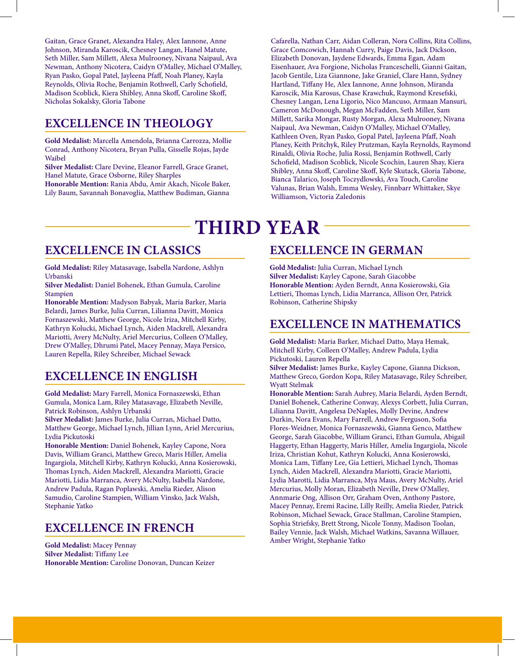Gaitan, Grace Granet, Alexandra Haley, Alex Iannone, Anne Johnson, Miranda Karoscik, Chesney Langan, Hanel Matute, Seth Miller, Sam Millett, Alexa Mulrooney, Nivana Naipaul, Ava Newman, Anthony Nicotera, Caidyn O'Malley, Michael O'Malley, Ryan Pasko, Gopal Patel, Jayleena Pfaff, Noah Planey, Kayla Reynolds, Olivia Roche, Benjamin Rothwell, Carly Schofield, Madison Scoblick, Kiera Shibley, Anna Skoff, Caroline Skoff, Nicholas Sokalsky, Gloria Tabone

#### **EXCELLENCE IN THEOLOGY**

**Gold Medalist:** Marcella Amendola, Brianna Carrozza, Mollie Conrad, Anthony Nicotera, Bryan Pulla, Gisselle Rojas, Jayde Waibel

**Silver Medalist:** Clare Devine, Eleanor Farrell, Grace Granet, Hanel Matute, Grace Osborne, Riley Sharples

**Honorable Mention:** Rania Abdu, Amir Akach, Nicole Baker, Lily Baum, Savannah Bonavoglia, Matthew Budiman, Gianna

Cafarella, Nathan Carr, Aidan Colleran, Nora Collins, Rita Collins, Grace Comcowich, Hannah Curry, Paige Davis, Jack Dickson, Elizabeth Donovan, Jaydene Edwards, Emma Egan, Adam Eisenhauer, Ava Forgione, Nicholas Franceschelli, Gianni Gaitan, Jacob Gentile, Liza Giannone, Jake Graniel, Clare Hann, Sydney Hartland, Tiffany He, Alex Iannone, Anne Johnson, Miranda Karoscik, Mia Karosus, Chase Krawchuk, Raymond Kresefski, Chesney Langan, Lena Ligorio, Nico Mancuso, Armaan Mansuri, Cameron McDonough, Megan McFadden, Seth Miller, Sam Millett, Sarika Mongar, Rusty Morgan, Alexa Mulrooney, Nivana Naipaul, Ava Newman, Caidyn O'Malley, Michael O'Malley, Kathleen Oven, Ryan Pasko, Gopal Patel, Jayleena Pfaff, Noah Planey, Keith Pritchyk, Riley Prutzman, Kayla Reynolds, Raymond Rinaldi, Olivia Roche, Julia Rossi, Benjamin Rothwell, Carly Schofield, Madison Scoblick, Nicole Scochin, Lauren Shay, Kiera Shibley, Anna Skoff, Caroline Skoff, Kyle Skutack, Gloria Tabone, Bianca Talarico, Joseph Toczydlowski, Ava Touch, Caroline Valunas, Brian Walsh, Emma Wesley, Finnbarr Whittaker, Skye Williamson, Victoria Zaledonis

### **THIRD YEAR**

#### **EXCELLENCE IN CLASSICS**

**Gold Medalist:** Riley Matasavage, Isabella Nardone, Ashlyn Urbanski

**Silver Medalist:** Daniel Bohenek, Ethan Gumula, Caroline Stampien

**Honorable Mention:** Madyson Babyak, Maria Barker, Maria Belardi, James Burke, Julia Curran, Lilianna Davitt, Monica Fornaszewski, Matthew George, Nicole Iriza, Mitchell Kirby, Kathryn Kolucki, Michael Lynch, Aiden Mackrell, Alexandra Mariotti, Avery McNulty, Ariel Mercurius, Colleen O'Malley, Drew O'Malley, Dhrumi Patel, Macey Pennay, Maya Persico, Lauren Repella, Riley Schreiber, Michael Sewack

#### **EXCELLENCE IN ENGLISH**

**Gold Medalist:** Mary Farrell, Monica Fornaszewski, Ethan Gumula, Monica Lam, Riley Matasavage, Elizabeth Neville, Patrick Robinson, Ashlyn Urbanski

**Silver Medalist:** James Burke, Julia Curran, Michael Datto, Matthew George, Michael Lynch, Jillian Lynn, Ariel Mercurius, Lydia Pickutoski

**Honorable Mention:** Daniel Bohenek, Kayley Capone, Nora Davis, William Granci, Matthew Greco, Maris Hiller, Amelia Ingargiola, Mitchell Kirby, Kathryn Kolucki, Anna Kosierowski, Thomas Lynch, Aiden Mackrell, Alexandra Mariotti, Gracie Mariotti, Lidia Marranca, Avery McNulty, Isabella Nardone, Andrew Padula, Ragan Poplawski, Amelia Rieder, Alison Samudio, Caroline Stampien, William Vinsko, Jack Walsh, Stephanie Yatko

#### **EXCELLENCE IN FRENCH**

**Gold Medalist:** Macey Pennay **Silver Medalist:** Tiffany Lee **Honorable Mention:** Caroline Donovan, Duncan Keizer

#### **EXCELLENCE IN GERMAN**

**Gold Medalist:** Julia Curran, Michael Lynch **Silver Medalist:** Kayley Capone, Sarah Giacobbe **Honorable Mention:** Ayden Berndt, Anna Kosierowski, Gia Lettieri, Thomas Lynch, Lidia Marranca, Allison Orr, Patrick Robinson, Catherine Shipsky

#### **EXCELLENCE IN MATHEMATICS**

**Gold Medalist:** Maria Barker, Michael Datto, Maya Hemak, Mitchell Kirby, Colleen O'Malley, Andrew Padula, Lydia Pickutoski, Lauren Repella

**Silver Medalist:** James Burke, Kayley Capone, Gianna Dickson, Matthew Greco, Gordon Kopa, Riley Matasavage, Riley Schreiber, Wyatt Stelmak

**Honorable Mention:** Sarah Aubrey, Maria Belardi, Ayden Berndt, Daniel Bohenek, Catherine Conway, Alexys Corbett, Julia Curran, Lilianna Davitt, Angelesa DeNaples, Molly Devine, Andrew Durkin, Nora Evans, Mary Farrell, Andrew Ferguson, Sofia Flores-Weidner, Monica Fornaszewski, Gianna Genco, Matthew George, Sarah Giacobbe, William Granci, Ethan Gumula, Abigail Haggerty, Ethan Haggerty, Maris Hiller, Amelia Ingargiola, Nicole Iriza, Christian Kohut, Kathryn Kolucki, Anna Kosierowski, Monica Lam, Tiffany Lee, Gia Lettieri, Michael Lynch, Thomas Lynch, Aiden Mackrell, Alexandra Mariotti, Gracie Mariotti, Lydia Marotti, Lidia Marranca, Mya Maus, Avery McNulty, Ariel Mercurius, Molly Moran, Elizabeth Neville, Drew O'Malley, Annmarie Ong, Allison Orr, Graham Oven, Anthony Pastore, Macey Pennay, Eremi Racine, Lilly Reilly, Amelia Rieder, Patrick Robinson, Michael Sewack, Grace Stallman, Caroline Stampien, Sophia Striefsky, Brett Strong, Nicole Tonny, Madison Toolan, Bailey Vennie, Jack Walsh, Michael Watkins, Savanna Willauer, Amber Wright, Stephanie Yatko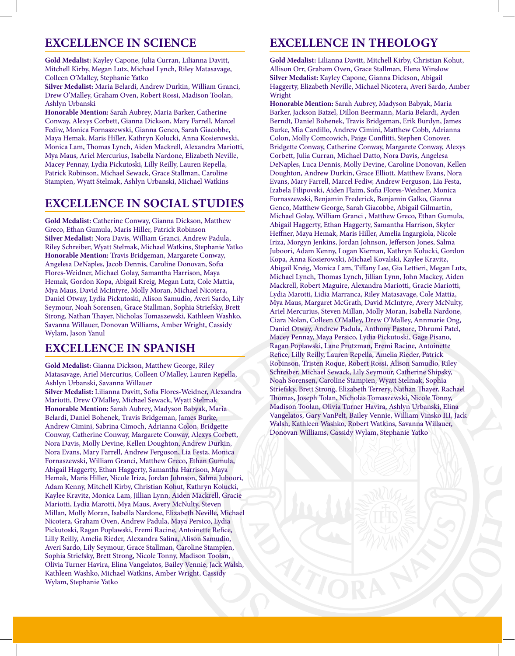#### **EXCELLENCE IN SCIENCE**

**Gold Medalist:** Kayley Capone, Julia Curran, Lilianna Davitt, Mitchell Kirby, Megan Lutz, Michael Lynch, Riley Matasavage, Colleen O'Malley, Stephanie Yatko

**Silver Medalist:** Maria Belardi, Andrew Durkin, William Granci, Drew O'Malley, Graham Oven, Robert Rossi, Madison Toolan, Ashlyn Urbanski

**Honorable Mention:** Sarah Aubrey, Maria Barker, Catherine Conway, Alexys Corbett, Gianna Dickson, Mary Farrell, Marcel Fediw, Monica Fornaszewski, Gianna Genco, Sarah Giacobbe, Maya Hemak, Maris Hiller, Kathryn Kolucki, Anna Kosierowski, Monica Lam, Thomas Lynch, Aiden Mackrell, Alexandra Mariotti, Mya Maus, Ariel Mercurius, Isabella Nardone, Elizabeth Neville, Macey Pennay, Lydia Pickutoski, Lilly Reilly, Lauren Repella, Patrick Robinson, Michael Sewack, Grace Stallman, Caroline Stampien, Wyatt Stelmak, Ashlyn Urbanski, Michael Watkins

#### **EXCELLENCE IN SOCIAL STUDIES**

**Gold Medalist:** Catherine Conway, Gianna Dickson, Matthew Greco, Ethan Gumula, Maris Hiller, Patrick Robinson **Silver Medalist:** Nora Davis, William Granci, Andrew Padula, Riley Schreiber, Wyatt Stelmak, Michael Watkins, Stephanie Yatko **Honorable Mention:** Travis Bridgeman, Margarete Conway, Angelesa DeNaples, Jacob Dennis, Caroline Donovan, Sofia Flores-Weidner, Michael Golay, Samantha Harrison, Maya Hemak, Gordon Kopa, Abigail Kreig, Megan Lutz, Cole Mattia, Mya Maus, David McIntyre, Molly Moran, Michael Nicotera, Daniel Otway, Lydia Pickutoski, Alison Samudio, Averi Sardo, Lily Seymour, Noah Sorensen, Grace Stallman, Sophia Striefsky, Brett Strong, Nathan Thayer, Nicholas Tomaszewski, Kathleen Washko, Savanna Willauer, Donovan Williams, Amber Wright, Cassidy Wylam, Jason Yanul

#### **EXCELLENCE IN SPANISH**

**Gold Medalist:** Gianna Dickson, Matthew George, Riley Matasavage, Ariel Mercurius, Colleen O'Malley, Lauren Repella, Ashlyn Urbanski, Savanna Willauer

**Silver Medalist:** Lilianna Davitt, Sofia Flores-Weidner, Alexandra Mariotti, Drew O'Malley, Michael Sewack, Wyatt Stelmak **Honorable Mention:** Sarah Aubrey, Madyson Babyak, Maria Belardi, Daniel Bohenek, Travis Bridgeman, James Burke, Andrew Cimini, Sabrina Cimoch, Adrianna Colon, Bridgette Conway, Catherine Conway, Margarete Conway, Alexys Corbett, Nora Davis, Molly Devine, Kellen Doughton, Andrew Durkin, Nora Evans, Mary Farrell, Andrew Ferguson, Lia Festa, Monica Fornaszewski, William Granci, Matthew Greco, Ethan Gumula, Abigail Haggerty, Ethan Haggerty, Samantha Harrison, Maya Hemak, Maris Hiller, Nicole Iriza, Jordan Johnson, Salma Juboori, Adam Kenny, Mitchell Kirby, Christian Kohut, Kathryn Kolucki, Kaylee Kravitz, Monica Lam, Jillian Lynn, Aiden Mackrell, Gracie Mariotti, Lydia Marotti, Mya Maus, Avery McNulty, Steven Millan, Molly Moran, Isabella Nardone, Elizabeth Neville, Michael Nicotera, Graham Oven, Andrew Padula, Maya Persico, Lydia Pickutoski, Ragan Poplawski, Eremi Racine, Antoinette Refice, Lilly Reilly, Amelia Rieder, Alexandra Salina, Alison Samudio, Averi Sardo, Lily Seymour, Grace Stallman, Caroline Stampien, Sophia Striefsky, Brett Strong, Nicole Tonny, Madison Toolan, Olivia Turner Havira, Elina Vangelatos, Bailey Vennie, Jack Walsh, Kathleen Washko, Michael Watkins, Amber Wright, Cassidy Wylam, Stephanie Yatko

#### **EXCELLENCE IN THEOLOGY**

**Gold Medalist:** Lilianna Davitt, Mitchell Kirby, Christian Kohut, Allison Orr, Graham Oven, Grace Stallman, Elena Winslow **Silver Medalist:** Kayley Capone, Gianna Dickson, Abigail Haggerty, Elizabeth Neville, Michael Nicotera, Averi Sardo, Amber Wright

**Honorable Mention:** Sarah Aubrey, Madyson Babyak, Maria Barker, Jackson Batzel, Dillon Beermann, Maria Belardi, Ayden Berndt, Daniel Bohenek, Travis Bridgeman, Erik Burdyn, James Burke, Mia Cardillo, Andrew Cimini, Matthew Cobb, Adrianna Colon, Molly Comcowich, Paige Conflitti, Stephen Conover, Bridgette Conway, Catherine Conway, Margarete Conway, Alexys Corbett, Julia Curran, Michael Datto, Nora Davis, Angelesa DeNaples, Luca Dennis, Molly Devine, Caroline Donovan, Kellen Doughton, Andrew Durkin, Grace Elliott, Matthew Evans, Nora Evans, Mary Farrell, Marcel Fediw, Andrew Ferguson, Lia Festa, Izabela Filipovski, Aiden Flaim, Sofia Flores-Weidner, Monica Fornaszewski, Benjamin Frederick, Benjamin Galko, Gianna Genco, Matthew George, Sarah Giacobbe, Abigail Gilmartin, Michael Golay, William Granci , Matthew Greco, Ethan Gumula, Abigail Haggerty, Ethan Haggerty, Samantha Harrison, Skyler Heffner, Maya Hemak, Maris Hiller, Amelia Ingargiola, Nicole Iriza, Morgyn Jenkins, Jordan Johnson, Jefferson Jones, Salma Juboori, Adam Kenny, Logan Kiernan, Kathryn Kolucki, Gordon Kopa, Anna Kosierowski, Michael Kovalski, Kaylee Kravitz, Abigail Kreig, Monica Lam, Tiffany Lee, Gia Lettieri, Megan Lutz, Michael Lynch, Thomas Lynch, Jillian Lynn, John Mackey, Aiden Mackrell, Robert Maguire, Alexandra Mariotti, Gracie Mariotti, Lydia Marotti, Lidia Marranca, Riley Matasavage, Cole Mattia, Mya Maus, Margaret McGrath, David McIntyre, Avery McNulty, Ariel Mercurius, Steven Millan, Molly Moran, Isabella Nardone, Ciara Nolan, Colleen O'Malley, Drew O'Malley, Annmarie Ong, Daniel Otway, Andrew Padula, Anthony Pastore, Dhrumi Patel, Macey Pennay, Maya Persico, Lydia Pickutoski, Gage Pisano, Ragan Poplawski, Lane Prutzman, Eremi Racine, Antoinette Refice, Lilly Reilly, Lauren Repella, Amelia Rieder, Patrick Robinson, Tristen Roque, Robert Rossi, Alison Samudio, Riley Schreiber, Michael Sewack, Lily Seymour, Catherine Shipsky, Noah Sorensen, Caroline Stampien, Wyatt Stelmak, Sophia Striefsky, Brett Strong, Elizabeth Terrery, Nathan Thayer, Rachael Thomas, Joseph Tolan, Nicholas Tomaszewski, Nicole Tonny, Madison Toolan, Olivia Turner Havira, Ashlyn Urbanski, Elina Vangelatos, Gary VanPelt, Bailey Vennie, William Vinsko III, Jack Walsh, Kathleen Washko, Robert Watkins, Savanna Willauer, Donovan Williams, Cassidy Wylam, Stephanie Yatko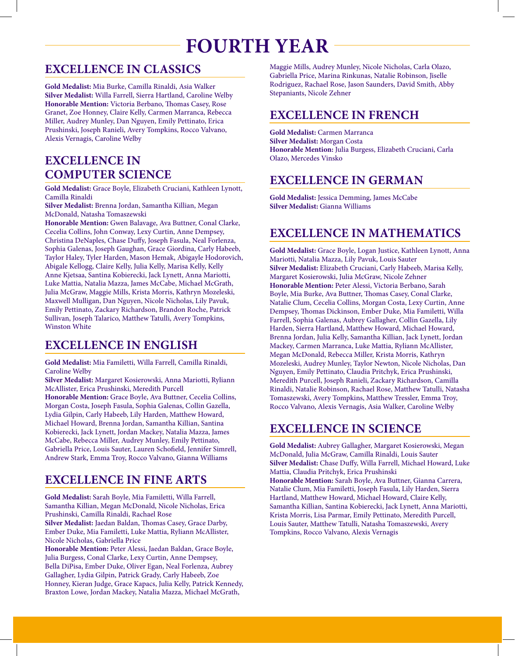## **FOURTH YEAR**

#### **EXCELLENCE IN CLASSICS**

**Gold Medalist:** Mia Burke, Camilla Rinaldi, Asia Walker **Silver Medalist:** Willa Farrell, Sierra Hartland, Caroline Welby **Honorable Mention:** Victoria Berbano, Thomas Casey, Rose Granet, Zoe Honney, Claire Kelly, Carmen Marranca, Rebecca Miller, Audrey Munley, Dan Nguyen, Emily Pettinato, Erica Prushinski, Joseph Ranieli, Avery Tompkins, Rocco Valvano, Alexis Vernagis, Caroline Welby

#### **EXCELLENCE IN COMPUTER SCIENCE**

**Gold Medalist:** Grace Boyle, Elizabeth Cruciani, Kathleen Lynott, Camilla Rinaldi

**Silver Medalist:** Brenna Jordan, Samantha Killian, Megan McDonald, Natasha Tomaszewski

**Honorable Mention:** Gwen Balavage, Ava Buttner, Conal Clarke, Cecelia Collins, John Conway, Lexy Curtin, Anne Dempsey, Christina DeNaples, Chase Duffy, Joseph Fasula, Neal Forlenza, Sophia Galenas, Joseph Gaughan, Grace Giordina, Carly Habeeb, Taylor Haley, Tyler Harden, Mason Hemak, Abigayle Hodorovich, Abigale Kellogg, Claire Kelly, Julia Kelly, Marisa Kelly, Kelly Anne Kjetsaa, Santina Kobierecki, Jack Lynett, Anna Mariotti, Luke Mattia, Natalia Mazza, James McCabe, Michael McGrath, Julia McGraw, Maggie Mills, Krista Morris, Kathryn Mozeleski, Maxwell Mulligan, Dan Nguyen, Nicole Nicholas, Lily Pavuk, Emily Pettinato, Zackary Richardson, Brandon Roche, Patrick Sullivan, Joseph Talarico, Matthew Tatulli, Avery Tompkins, Winston White

#### **EXCELLENCE IN ENGLISH**

**Gold Medalist:** Mia Familetti, Willa Farrell, Camilla Rinaldi, Caroline Welby

**Silver Medalist:** Margaret Kosierowski, Anna Mariotti, Ryliann McAllister, Erica Prushinski, Meredith Purcell **Honorable Mention:** Grace Boyle, Ava Buttner, Cecelia Collins, Morgan Costa, Joseph Fasula, Sophia Galenas, Collin Gazella, Lydia Gilpin, Carly Habeeb, Lily Harden, Matthew Howard, Michael Howard, Brenna Jordan, Samantha Killian, Santina Kobierecki, Jack Lynett, Jordan Mackey, Natalia Mazza, James McCabe, Rebecca Miller, Audrey Munley, Emily Pettinato, Gabriella Price, Louis Sauter, Lauren Schofield, Jennifer Simrell, Andrew Stark, Emma Troy, Rocco Valvano, Gianna Williams

#### **EXCELLENCE IN FINE ARTS**

**Gold Medalist:** Sarah Boyle, Mia Familetti, Willa Farrell, Samantha Killian, Megan McDonald, Nicole Nicholas, Erica Prushinski, Camilla Rinaldi, Rachael Rose

**Silver Medalist:** Jaedan Baldan, Thomas Casey, Grace Darby, Ember Duke, Mia Familetti, Luke Mattia, Ryliann McAllister, Nicole Nicholas, Gabriella Price

**Honorable Mention:** Peter Alessi, Jaedan Baldan, Grace Boyle, Julia Burgess, Conal Clarke, Lexy Curtin, Anne Dempsey, Bella DiPisa, Ember Duke, Oliver Egan, Neal Forlenza, Aubrey Gallagher, Lydia Gilpin, Patrick Grady, Carly Habeeb, Zoe Honney, Kieran Judge, Grace Kapacs, Julia Kelly, Patrick Kennedy, Braxton Lowe, Jordan Mackey, Natalia Mazza, Michael McGrath,

Maggie Mills, Audrey Munley, Nicole Nicholas, Carla Olazo, Gabriella Price, Marina Rinkunas, Natalie Robinson, Jiselle Rodriguez, Rachael Rose, Jason Saunders, David Smith, Abby Stepaniants, Nicole Zehner

#### **EXCELLENCE IN FRENCH**

**Gold Medalist:** Carmen Marranca **Silver Medalist:** Morgan Costa **Honorable Mention:** Julia Burgess, Elizabeth Cruciani, Carla Olazo, Mercedes Vinsko

#### **EXCELLENCE IN GERMAN**

**Gold Medalist:** Jessica Demming, James McCabe **Silver Medalist:** Gianna Williams

#### **EXCELLENCE IN MATHEMATICS**

**Gold Medalist:** Grace Boyle, Logan Justice, Kathleen Lynott, Anna Mariotti, Natalia Mazza, Lily Pavuk, Louis Sauter **Silver Medalist:** Elizabeth Cruciani, Carly Habeeb, Marisa Kelly, Margaret Kosierowski, Julia McGraw, Nicole Zehner **Honorable Mention:** Peter Alessi, Victoria Berbano, Sarah Boyle, Mia Burke, Ava Buttner, Thomas Casey, Conal Clarke, Natalie Clum, Cecelia Collins, Morgan Costa, Lexy Curtin, Anne Dempsey, Thomas Dickinson, Ember Duke, Mia Familetti, Willa Farrell, Sophia Galenas, Aubrey Gallagher, Collin Gazella, Lily Harden, Sierra Hartland, Matthew Howard, Michael Howard, Brenna Jordan, Julia Kelly, Samantha Killian, Jack Lynett, Jordan Mackey, Carmen Marranca, Luke Mattia, Ryliann McAllister, Megan McDonald, Rebecca Miller, Krista Morris, Kathryn Mozeleski, Audrey Munley, Taylor Newton, Nicole Nicholas, Dan Nguyen, Emily Pettinato, Claudia Pritchyk, Erica Prushinski, Meredith Purcell, Joseph Ranieli, Zackary Richardson, Camilla Rinaldi, Natalie Robinson, Rachael Rose, Matthew Tatulli, Natasha Tomaszewski, Avery Tompkins, Matthew Tressler, Emma Troy, Rocco Valvano, Alexis Vernagis, Asia Walker, Caroline Welby

#### **EXCELLENCE IN SCIENCE**

**Gold Medalist:** Aubrey Gallagher, Margaret Kosierowski, Megan McDonald, Julia McGraw, Camilla Rinaldi, Louis Sauter **Silver Medalist:** Chase Duffy, Willa Farrell, Michael Howard, Luke Mattia, Claudia Pritchyk, Erica Prushinski **Honorable Mention:** Sarah Boyle, Ava Buttner, Gianna Carrera, Natalie Clum, Mia Familetti, Joseph Fasula, Lily Harden, Sierra Hartland, Matthew Howard, Michael Howard, Claire Kelly, Samantha Killian, Santina Kobierecki, Jack Lynett, Anna Mariotti, Krista Morris, Lisa Parmar, Emily Pettinato, Meredith Purcell, Louis Sauter, Matthew Tatulli, Natasha Tomaszewski, Avery Tompkins, Rocco Valvano, Alexis Vernagis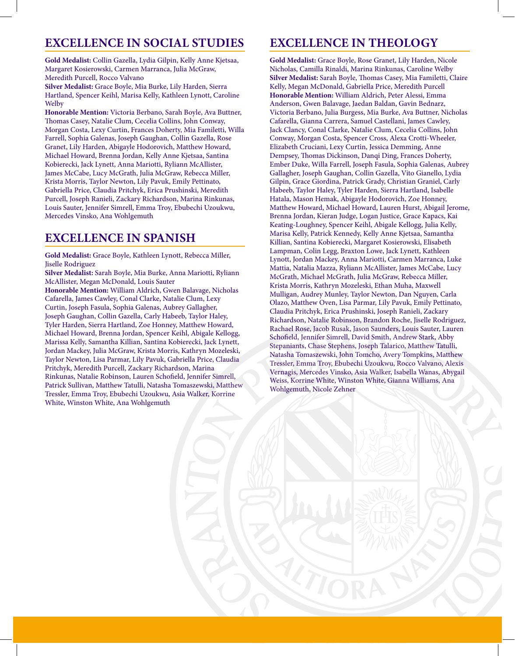#### **EXCELLENCE IN SOCIAL STUDIES**

**Gold Medalist:** Collin Gazella, Lydia Gilpin, Kelly Anne Kjetsaa, Margaret Kosierowski, Carmen Marranca, Julia McGraw, Meredith Purcell, Rocco Valvano

**Silver Medalist:** Grace Boyle, Mia Burke, Lily Harden, Sierra Hartland, Spencer Keihl, Marisa Kelly, Kathleen Lynott, Caroline **Welby** 

**Honorable Mention:** Victoria Berbano, Sarah Boyle, Ava Buttner, Thomas Casey, Natalie Clum, Cecelia Collins, John Conway, Morgan Costa, Lexy Curtin, Frances Doherty, Mia Familetti, Willa Farrell, Sophia Galenas, Joseph Gaughan, Collin Gazella, Rose Granet, Lily Harden, Abigayle Hodorovich, Matthew Howard, Michael Howard, Brenna Jordan, Kelly Anne Kjetsaa, Santina Kobierecki, Jack Lynett, Anna Mariotti, Ryliann McAllister, James McCabe, Lucy McGrath, Julia McGraw, Rebecca Miller, Krista Morris, Taylor Newton, Lily Pavuk, Emily Pettinato, Gabriella Price, Claudia Pritchyk, Erica Prushinski, Meredith Purcell, Joseph Ranieli, Zackary Richardson, Marina Rinkunas, Louis Sauter, Jennifer Simrell, Emma Troy, Ebubechi Uzoukwu, Mercedes Vinsko, Ana Wohlgemuth

#### **EXCELLENCE IN SPANISH**

**Gold Medalist:** Grace Boyle, Kathleen Lynott, Rebecca Miller, Jiselle Rodriguez

**Silver Medalist:** Sarah Boyle, Mia Burke, Anna Mariotti, Ryliann McAllister, Megan McDonald, Louis Sauter

**Honorable Mention:** William Aldrich, Gwen Balavage, Nicholas Cafarella, James Cawley, Conal Clarke, Natalie Clum, Lexy Curtin, Joseph Fasula, Sophia Galenas, Aubrey Gallagher, Joseph Gaughan, Collin Gazella, Carly Habeeb, Taylor Haley, Tyler Harden, Sierra Hartland, Zoe Honney, Matthew Howard, Michael Howard, Brenna Jordan, Spencer Keihl, Abigale Kellogg, Marissa Kelly, Samantha Killian, Santina Kobierecki, Jack Lynett, Jordan Mackey, Julia McGraw, Krista Morris, Kathryn Mozeleski, Taylor Newton, Lisa Parmar, Lily Pavuk, Gabriella Price, Claudia Pritchyk, Meredith Purcell, Zackary Richardson, Marina Rinkunas, Natalie Robinson, Lauren Schofield, Jennifer Simrell, Patrick Sullivan, Matthew Tatulli, Natasha Tomaszewski, Matthew Tressler, Emma Troy, Ebubechi Uzoukwu, Asia Walker, Korrine White, Winston White, Ana Wohlgemuth

#### **EXCELLENCE IN THEOLOGY**

**Gold Medalist:** Grace Boyle, Rose Granet, Lily Harden, Nicole Nicholas, Camilla Rinaldi, Marina Rinkunas, Caroline Welby **Silver Medalist:** Sarah Boyle, Thomas Casey, Mia Familetti, Claire Kelly, Megan McDonald, Gabriella Price, Meredith Purcell **Honorable Mention:** William Aldrich, Peter Alessi, Emma Anderson, Gwen Balavage, Jaedan Baldan, Gavin Bednarz, Victoria Berbano, Julia Burgess, Mia Burke, Ava Buttner, Nicholas Cafarella, Gianna Carrera, Samuel Castellani, James Cawley, Jack Clancy, Conal Clarke, Natalie Clum, Cecelia Collins, John Conway, Morgan Costa, Spencer Cross, Alexa Crotti-Wheeler, Elizabeth Cruciani, Lexy Curtin, Jessica Demming, Anne Dempsey, Thomas Dickinson, Danqi Ding, Frances Doherty, Ember Duke, Willa Farrell, Joseph Fasula, Sophia Galenas, Aubrey Gallagher, Joseph Gaughan, Collin Gazella, Vito Gianello, Lydia Gilpin, Grace Giordina, Patrick Grady, Christian Graniel, Carly Habeeb, Taylor Haley, Tyler Harden, Sierra Hartland, Isabelle Hatala, Mason Hemak, Abigayle Hodorovich, Zoe Honney, Matthew Howard, Michael Howard, Lauren Hurst, Abigail Jerome, Brenna Jordan, Kieran Judge, Logan Justice, Grace Kapacs, Kai Keating-Loughney, Spencer Keihl, Abigale Kellogg, Julia Kelly, Marisa Kelly, Patrick Kennedy, Kelly Anne Kjetsaa, Samantha Killian, Santina Kobierecki, Margaret Kosierowski, Elisabeth Lampman, Colin Legg, Braxton Lowe, Jack Lynett, Kathleen Lynott, Jordan Mackey, Anna Mariotti, Carmen Marranca, Luke Mattia, Natalia Mazza, Ryliann McAllister, James McCabe, Lucy McGrath, Michael McGrath, Julia McGraw, Rebecca Miller, Krista Morris, Kathryn Mozeleski, Ethan Muha, Maxwell Mulligan, Audrey Munley, Taylor Newton, Dan Nguyen, Carla Olazo, Matthew Oven, Lisa Parmar, Lily Pavuk, Emily Pettinato, Claudia Pritchyk, Erica Prushinski, Joseph Ranieli, Zackary Richardson, Natalie Robinson, Brandon Roche, Jiselle Rodriguez, Rachael Rose, Jacob Rusak, Jason Saunders, Louis Sauter, Lauren Schofield, Jennifer Simrell, David Smith, Andrew Stark, Abby Stepaniants, Chase Stephens, Joseph Talarico, Matthew Tatulli, Natasha Tomaszewski, John Tomcho, Avery Tompkins, Matthew Tressler, Emma Troy, Ebubechi Uzoukwu, Rocco Valvano, Alexis Vernagis, Mercedes Vinsko, Asia Walker, Isabella Wanas, Abygail Weiss, Korrine White, Winston White, Gianna Williams, Ana Wohlgemuth, Nicole Zehner